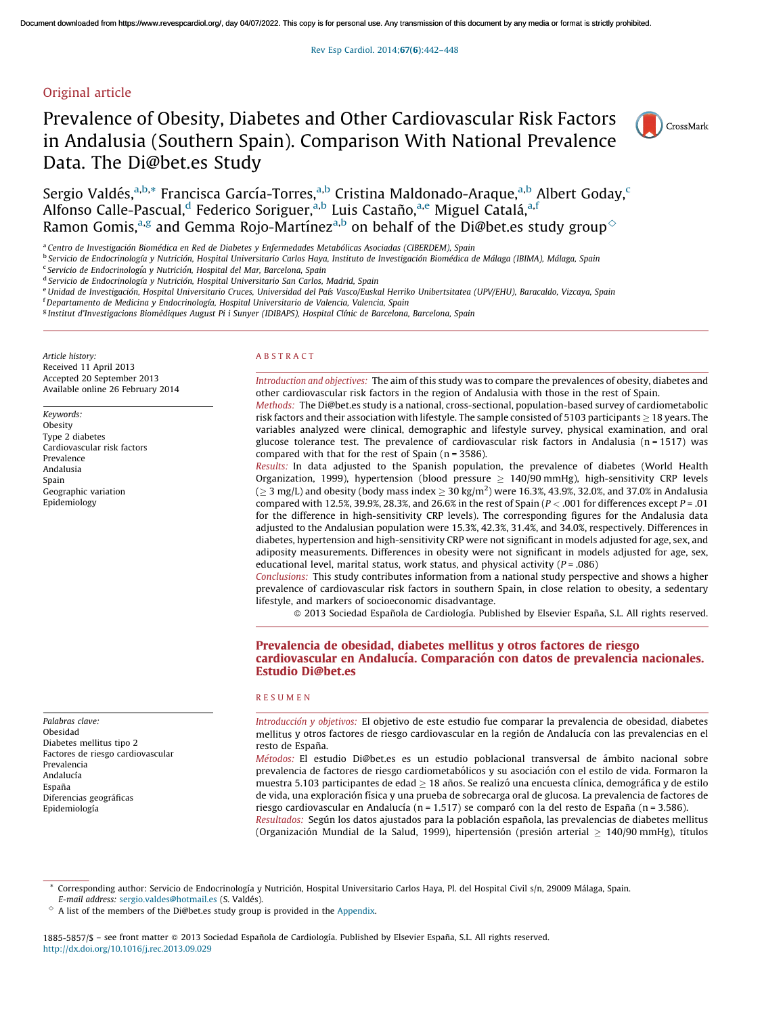# Original article

# Prevalence of Obesity, Diabetes and Other Cardiovascular Risk Factors in Andalusia (Southern Spain). Comparison With National Prevalence Data. The Di@bet.es Study



Sergio Valdés,<sup>a,b,</sup>\* Francisca García-Torres,<sup>a,b</sup> Cristina Maldonado-Araque,<sup>a,b</sup> Albert Goday,<sup>c</sup> Alfonso Calle-Pascual,<sup>d</sup> Federico Soriguer,<sup>a,b</sup> Luis Castaño,<sup>a,e</sup> Miguel Catalá,<sup>a,f</sup> Ramon Gomis, $^{\rm a,g}$  and Gemma Rojo-Martínez $^{\rm a,b}$  on behalf of the Di@bet.es study group $^\diamond$ 

a *Centro de Investigacio´n Biome´dica en Red de Diabetes y Enfermedades Metabo´licas Asociadas (CIBERDEM), Spain*

<sup>b</sup> Servicio de Endocrinología y Nutrición, Hospital Universitario Carlos Haya, Instituto de Investigación Biomédica de Málaga (IBIMA), Málaga, Spain

c *Servicio de Endocrinologı´a y Nutricio´n, Hospital del Mar, Barcelona, Spain*

d *Servicio de Endocrinologı´a y Nutricio´n, Hospital Universitario San Carlos, Madrid, Spain*

e Unidad de Investigación, Hospital Universitario Cruces, Universidad del País Vasco/Euskal Herriko Unibertsitatea (UPV/EHU), Baracaldo, Vizcaya, Spain

<sup>f</sup>*Departamento de Medicina y Endocrinologı´a, Hospital Universitario de Valencia, Valencia, Spain*

g *Institut d'Investigacions Biome`diques August Pi i Sunyer (IDIBAPS), Hospital Clı´nic de Barcelona, Barcelona, Spain*

*Article history:* Received 11 April 2013 Accepted 20 September 2013 Available online 26 February 2014

*Keywords:* Obesity Type 2 diabetes Cardiovascular risk factors Prevalence Andalusia Spain Geographic variation Epidemiology

*Palabras clave:* Obesidad

Prevalencia Andalucía Espan˜a

Diabetes mellitus tipo 2 Factores de riesgo cardiovascular

Diferencias geográficas Epidemiología

#### A B S T R A C T

*Introduction and objectives:* The aim of this study was to compare the prevalences of obesity, diabetes and other cardiovascular risk factors in the region of Andalusia with those in the rest of Spain. *Methods:* The Di@bet.es study is a national, cross-sectional, population-based survey of cardiometabolic

risk factors and their association with lifestyle. The sample consisted of 5103 participants  $\geq$  18 years. The variables analyzed were clinical, demographic and lifestyle survey, physical examination, and oral glucose tolerance test. The prevalence of cardiovascular risk factors in Andalusia ( $n = 1517$ ) was compared with that for the rest of Spain ( $n = 3586$ ).

*Results:* In data adjusted to the Spanish population, the prevalence of diabetes (World Health Organization, 1999), hypertension (blood pressure  $\geq 140/90$  mmHg), high-sensitivity CRP levels ( $\geq$  3 mg/L) and obesity (body mass index  $\geq$  30 kg/m<sup>2</sup>) were 16.3%, 43.9%, 32.0%, and 37.0% in Andalusia compared with 12.5%, 39.9%, 28.3%, and 26.6% in the rest of Spain (*P* < .001 for differences except *P* = .01 for the difference in high-sensitivity CRP levels). The corresponding figures for the Andalusia data adjusted to the Andalusian population were 15.3%, 42.3%, 31.4%, and 34.0%, respectively. Differences in diabetes, hypertension and high-sensitivity CRP were not significant in models adjusted for age, sex, and adiposity measurements. Differences in obesity were not significant in models adjusted for age, sex, educational level, marital status, work status, and physical activity (*P* = .086)

*Conclusions:* This study contributes information from a national study perspective and shows a higher prevalence of cardiovascular risk factors in southern Spain, in close relation to obesity, a sedentary lifestyle, and markers of socioeconomic disadvantage.

 $\odot$  2013 Sociedad Española de Cardiología. Published by Elsevier España, S.L. All rights reserved.

# Prevalencia de obesidad, diabetes mellitus y otros factores de riesgo cardiovascular en Andalucía. Comparación con datos de prevalencia nacionales. Estudio Di@bet.es

#### R E S U M E N

*Introduccio´n y objetivos:* El objetivo de este estudio fue comparar la prevalencia de obesidad, diabetes mellitus y otros factores de riesgo cardiovascular en la región de Andalucía con las prevalencias en el resto de España.

*Métodos:* El estudio Di@bet.es es un estudio poblacional transversal de ámbito nacional sobre prevalencia de factores de riesgo cardiometabólicos y su asociación con el estilo de vida. Formaron la muestra 5.103 participantes de edad  $\geq$  18 años. Se realizó una encuesta clínica, demográfica y de estilo de vida, una exploración física y una prueba de sobrecarga oral de glucosa. La prevalencia de factores de riesgo cardiovascular en Andalucía (n = 1.517) se comparó con la del resto de España (n = 3.586).

*Resultados:* Según los datos ajustados para la población española, las prevalencias de diabetes mellitus (Organización Mundial de la Salud, 1999), hipertensión (presión arterial  $\geq 140/90$  mmHg), títulos

Corresponding author: Servicio de Endocrinología y Nutrición, Hospital Universitario Carlos Haya, Pl. del Hospital Civil s/n, 29009 Málaga, Spain.

*E-mail address: [sergio.valdes@hotmail.es](mailto:sergio.valdes@hotmail.es) (S. Valdés).* 

 $\degree$  A list of the members of the Di@bet.es study group is provided in the [Appendix](#page-5-0).

<sup>1885-5857/\$ -</sup> see front matter @ 2013 Sociedad Española de Cardiología. Published by Elsevier España, S.L. All rights reserved. <http://dx.doi.org/10.1016/j.rec.2013.09.029>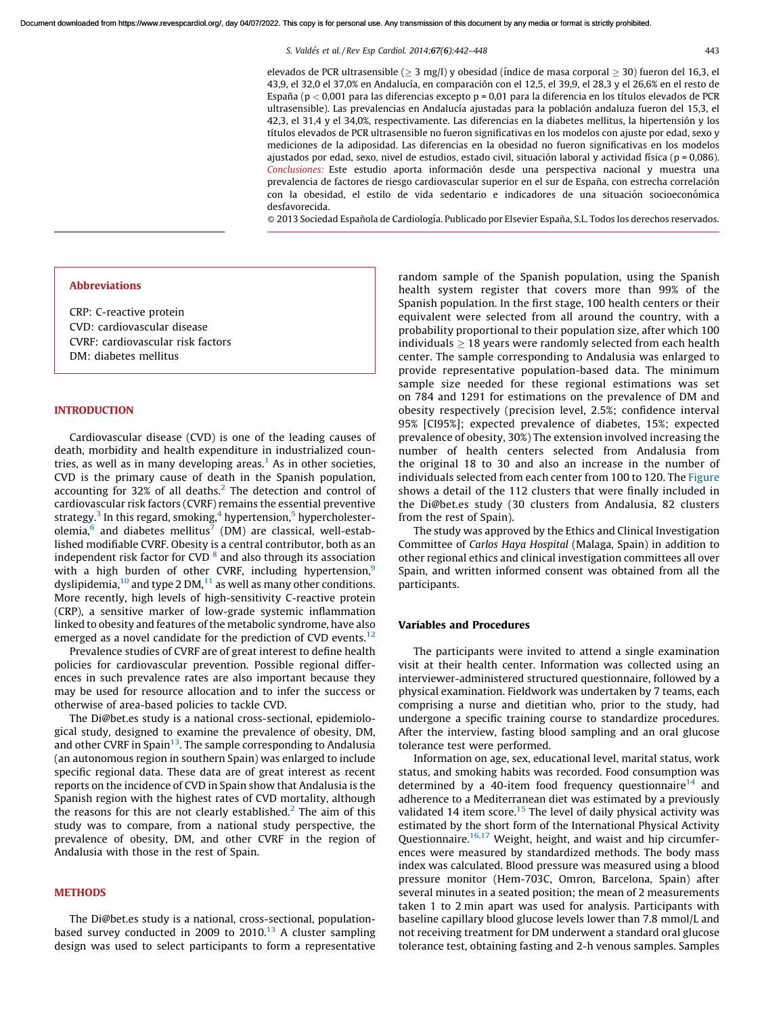*S. Valde´s et al. / Rev Esp Cardiol. 2014;*67(6)*:442–448* 443

elevados de PCR ultrasensible ( $\geq 3$  mg/l) y obesidad (índice de masa corporal  $\geq 30$ ) fueron del 16,3, el 43,9, el 32,0 el 37,0% en Andalucía, en comparación con el 12,5, el 39,9, el 28,3 y el 26,6% en el resto de España (p < 0,001 para las diferencias excepto p = 0,01 para la diferencia en los títulos elevados de PCR ultrasensible). Las prevalencias en Andalucía ajustadas para la población andaluza fueron del 15,3, el 42,3, el 31,4 y el 34,0%, respectivamente. Las diferencias en la diabetes mellitus, la hipertensión y los títulos elevados de PCR ultrasensible no fueron significativas en los modelos con ajuste por edad, sexo y mediciones de la adiposidad. Las diferencias en la obesidad no fueron significativas en los modelos ajustados por edad, sexo, nivel de estudios, estado civil, situación laboral y actividad física (p = 0,086). Conclusiones: Este estudio aporta información desde una perspectiva nacional y muestra una prevalencia de factores de riesgo cardiovascular superior en el sur de España, con estrecha correlación con la obesidad, el estilo de vida sedentario e indicadores de una situación socioeconómica desfavorecida.

 $\odot$  2013 Sociedad Española de Cardiología. Publicado por Elsevier España, S.L. Todos los derechos reservados.

#### Abbreviations

CRP: C-reactive protein CVD: cardiovascular disease CVRF: cardiovascular risk factors DM: diabetes mellitus

## INTRODUCTION

Cardiovascular disease (CVD) is one of the leading causes of death, morbidity and health expenditure in industrialized coun-tries, as well as in many developing areas.<sup>[1](#page-6-0)</sup> As in other societies, CVD is the primary cause of death in the Spanish population, accounting for 3[2](#page-6-0)% of all deaths. $2$  The detection and control of cardiovascular risk factors (CVRF) remains the essential preventive strategy. $^3$  $^3$  In this regard, smoking, $^4$  $^4$  hypertension, $^5$  $^5$  hypercholesterolemia, $^6$  $^6$  and diabetes mellitus<sup>[7](#page-6-0)</sup> (DM) are classical, well-established modifiable CVRF. Obesity is a central contributor, both as an independent risk factor for CVD  $^8$  $^8$  and also through its association with a high burden of other CVRF, including hypertension,<sup>[9](#page-6-0)</sup> dyslipidemia, $^{10}$  $^{10}$  $^{10}$  and type 2 DM, $^{11}$  $^{11}$  $^{11}$  as well as many other conditions. More recently, high levels of high-sensitivity C-reactive protein (CRP), a sensitive marker of low-grade systemic inflammation linked to obesity and features of the metabolic syndrome, have also emerged as a novel candidate for the prediction of CVD events.<sup>[12](#page-6-0)</sup>

Prevalence studies of CVRF are of great interest to define health policies for cardiovascular prevention. Possible regional differences in such prevalence rates are also important because they may be used for resource allocation and to infer the success or otherwise of area-based policies to tackle CVD.

The Di@bet.es study is a national cross-sectional, epidemiological study, designed to examine the prevalence of obesity, DM, and other CVRF in Spain $^{13}$  $^{13}$  $^{13}$ . The sample corresponding to Andalusia (an autonomous region in southern Spain) was enlarged to include specific regional data. These data are of great interest as recent reports on the incidence of CVD in Spain show that Andalusia is the Spanish region with the highest rates of CVD mortality, although the reasons for this are not clearly established.<sup>[2](#page-6-0)</sup> The aim of this study was to compare, from a national study perspective, the prevalence of obesity, DM, and other CVRF in the region of Andalusia with those in the rest of Spain.

# **METHODS**

The Di@bet.es study is a national, cross-sectional, populationbased survey conducted in 2009 to  $2010$ .<sup>[13](#page-6-0)</sup> A cluster sampling design was used to select participants to form a representative random sample of the Spanish population, using the Spanish health system register that covers more than 99% of the Spanish population. In the first stage, 100 health centers or their equivalent were selected from all around the country, with a probability proportional to their population size, after which 100 individuals  $\geq 18$  years were randomly selected from each health center. The sample corresponding to Andalusia was enlarged to provide representative population-based data. The minimum sample size needed for these regional estimations was set on 784 and 1291 for estimations on the prevalence of DM and obesity respectively (precision level, 2.5%; confidence interval 95% [CI95%]; expected prevalence of diabetes, 15%; expected prevalence of obesity, 30%) The extension involved increasing the number of health centers selected from Andalusia from the original 18 to 30 and also an increase in the number of individuals selected from each center from 100 to 120. The [Figure](#page-2-0) shows a detail of the 112 clusters that were finally included in the Di@bet.es study (30 clusters from Andalusia, 82 clusters from the rest of Spain).

The study was approved by the Ethics and Clinical Investigation Committee of *Carlos Haya Hospital* (Malaga, Spain) in addition to other regional ethics and clinical investigation committees all over Spain, and written informed consent was obtained from all the participants.

## Variables and Procedures

The participants were invited to attend a single examination visit at their health center. Information was collected using an interviewer-administered structured questionnaire, followed by a physical examination. Fieldwork was undertaken by 7 teams, each comprising a nurse and dietitian who, prior to the study, had undergone a specific training course to standardize procedures. After the interview, fasting blood sampling and an oral glucose tolerance test were performed.

Information on age, sex, educational level, marital status, work status, and smoking habits was recorded. Food consumption was determined by a 40-item food frequency questionnaire<sup>[14](#page-6-0)</sup> and adherence to a Mediterranean diet was estimated by a previously validated 14 item score.<sup>[15](#page-6-0)</sup> The level of daily physical activity was estimated by the short form of the International Physical Activity Questionnaire. $16,17$  Weight, height, and waist and hip circumferences were measured by standardized methods. The body mass index was calculated. Blood pressure was measured using a blood pressure monitor (Hem-703C, Omron, Barcelona, Spain) after several minutes in a seated position; the mean of 2 measurements taken 1 to 2 min apart was used for analysis. Participants with baseline capillary blood glucose levels lower than 7.8 mmol/L and not receiving treatment for DM underwent a standard oral glucose tolerance test, obtaining fasting and 2-h venous samples. Samples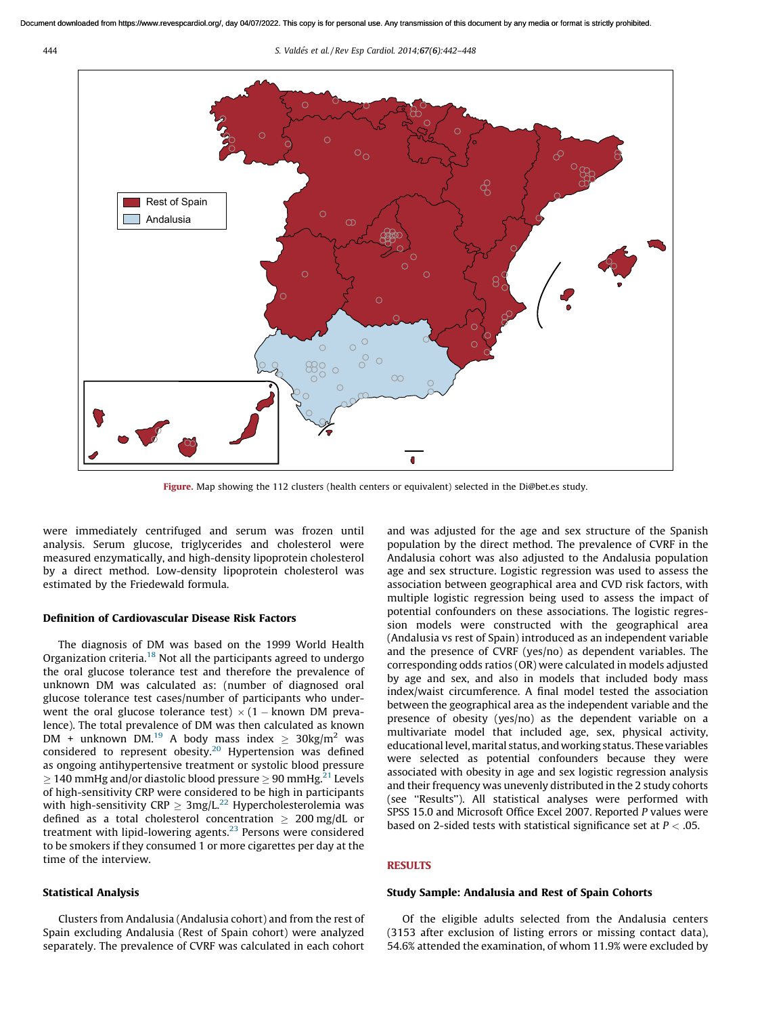<span id="page-2-0"></span>444 *S. Valde´s et al. / Rev Esp Cardiol. 2014;*67(6)*:442–448*



Figure. Map showing the 112 clusters (health centers or equivalent) selected in the Di@bet.es study.

were immediately centrifuged and serum was frozen until analysis. Serum glucose, triglycerides and cholesterol were measured enzymatically, and high-density lipoprotein cholesterol by a direct method. Low-density lipoprotein cholesterol was estimated by the Friedewald formula.

# Definition of Cardiovascular Disease Risk Factors

The diagnosis of DM was based on the 1999 World Health Organization criteria. $18$  Not all the participants agreed to undergo the oral glucose tolerance test and therefore the prevalence of unknown DM was calculated as: (number of diagnosed oral glucose tolerance test cases/number of participants who underwent the oral glucose tolerance test)  $\times$  (1 – known DM prevalence). The total prevalence of DM was then calculated as known DM + unknown DM.<sup>[19](#page-6-0)</sup> A body mass index  $\geq 30$ kg/m<sup>2</sup> was considered to represent obesity. $20$  Hypertension was defined as ongoing antihypertensive treatment or systolic blood pressure  $\geq$  140 mmHg and/or diastolic blood pressure  $\geq$  90 mmHg. $^{21}$  $^{21}$  $^{21}$  Levels of high-sensitivity CRP were considered to be high in participants with high-sensitivity CRP  $\geq 3$ mg/L.<sup>[22](#page-6-0)</sup> Hypercholesterolemia was defined as a total cholesterol concentration  $\geq 200$  mg/dL or treatment with lipid-lowering agents.[23](#page-6-0) Persons were considered to be smokers if they consumed 1 or more cigarettes per day at the time of the interview.

# Statistical Analysis

Clusters from Andalusia (Andalusia cohort) and from the rest of Spain excluding Andalusia (Rest of Spain cohort) were analyzed separately. The prevalence of CVRF was calculated in each cohort

and was adjusted for the age and sex structure of the Spanish population by the direct method. The prevalence of CVRF in the Andalusia cohort was also adjusted to the Andalusia population age and sex structure. Logistic regression was used to assess the association between geographical area and CVD risk factors, with multiple logistic regression being used to assess the impact of potential confounders on these associations. The logistic regression models were constructed with the geographical area (Andalusia vs rest of Spain) introduced as an independent variable and the presence of CVRF (yes/no) as dependent variables. The corresponding odds ratios (OR) were calculated in models adjusted by age and sex, and also in models that included body mass index/waist circumference. A final model tested the association between the geographical area as the independent variable and the presence of obesity (yes/no) as the dependent variable on a multivariate model that included age, sex, physical activity, educationallevel,marital status, andworking status. These variables were selected as potential confounders because they were associated with obesity in age and sex logistic regression analysis and their frequency was unevenly distributed in the 2 study cohorts (see ''Results''). All statistical analyses were performed with SPSS 15.0 and Microsoft Office Excel 2007. Reported *P* values were based on 2-sided tests with statistical significance set at *P* < .05.

# **RESULTS**

#### Study Sample: Andalusia and Rest of Spain Cohorts

Of the eligible adults selected from the Andalusia centers (3153 after exclusion of listing errors or missing contact data), 54.6% attended the examination, of whom 11.9% were excluded by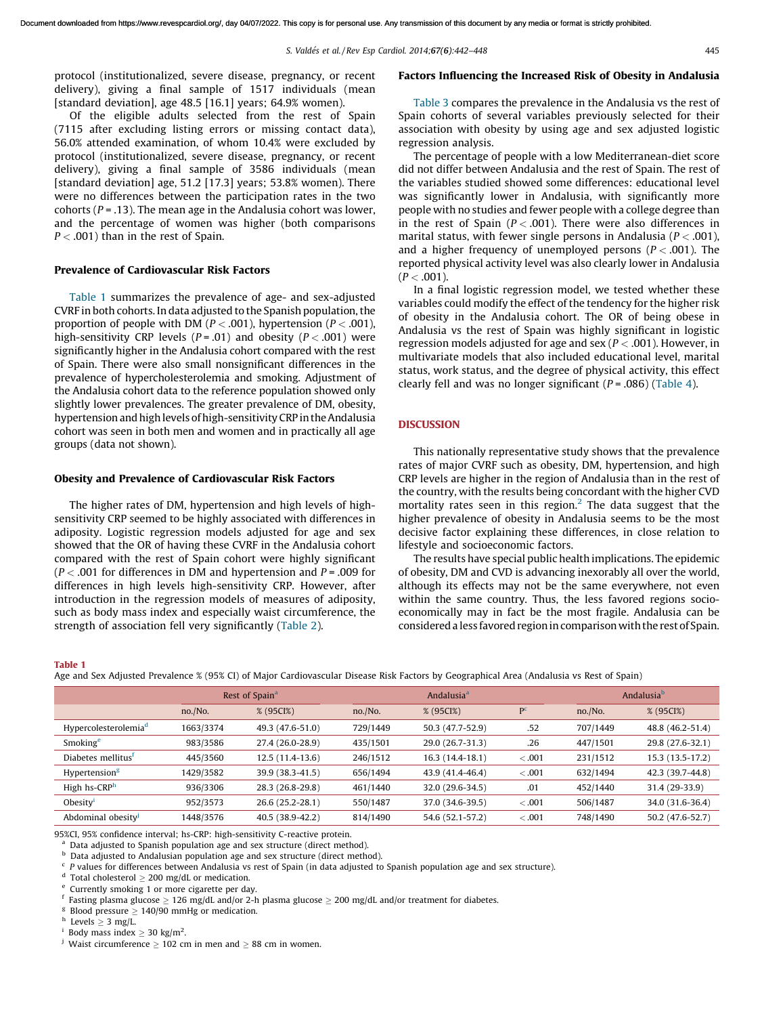protocol (institutionalized, severe disease, pregnancy, or recent delivery), giving a final sample of 1517 individuals (mean [standard deviation], age 48.5 [16.1] years; 64.9% women).

Of the eligible adults selected from the rest of Spain (7115 after excluding listing errors or missing contact data), 56.0% attended examination, of whom 10.4% were excluded by protocol (institutionalized, severe disease, pregnancy, or recent delivery), giving a final sample of 3586 individuals (mean [standard deviation] age, 51.2 [17.3] years; 53.8% women). There were no differences between the participation rates in the two cohorts (*P* = .13). The mean age in the Andalusia cohort was lower, and the percentage of women was higher (both comparisons *P* < .001) than in the rest of Spain.

#### Prevalence of Cardiovascular Risk Factors

Table 1 summarizes the prevalence of age- and sex-adjusted CVRF in both cohorts. In data adjusted to the Spanish population, the proportion of people with DM (*P* < .001), hypertension (*P* < .001), high-sensitivity CRP levels  $(P = .01)$  and obesity  $(P < .001)$  were significantly higher in the Andalusia cohort compared with the rest of Spain. There were also small nonsignificant differences in the prevalence of hypercholesterolemia and smoking. Adjustment of the Andalusia cohort data to the reference population showed only slightly lower prevalences. The greater prevalence of DM, obesity, hypertension and high levels of high-sensitivity CRP in the Andalusia cohort was seen in both men and women and in practically all age groups (data not shown).

#### Obesity and Prevalence of Cardiovascular Risk Factors

The higher rates of DM, hypertension and high levels of highsensitivity CRP seemed to be highly associated with differences in adiposity. Logistic regression models adjusted for age and sex showed that the OR of having these CVRF in the Andalusia cohort compared with the rest of Spain cohort were highly significant (*P* < .001 for differences in DM and hypertension and *P* = .009 for differences in high levels high-sensitivity CRP. However, after introduction in the regression models of measures of adiposity, such as body mass index and especially waist circumference, the strength of association fell very significantly ([Table](#page-4-0) 2).

#### Factors Influencing the Increased Risk of Obesity in Andalusia

[Table](#page-4-0) 3 compares the prevalence in the Andalusia vs the rest of Spain cohorts of several variables previously selected for their association with obesity by using age and sex adjusted logistic regression analysis.

The percentage of people with a low Mediterranean-diet score did not differ between Andalusia and the rest of Spain. The rest of the variables studied showed some differences: educational level was significantly lower in Andalusia, with significantly more people with no studies and fewer people with a college degree than in the rest of Spain  $(P < .001)$ . There were also differences in marital status, with fewer single persons in Andalusia (*P* < .001), and a higher frequency of unemployed persons  $(P < .001)$ . The reported physical activity level was also clearly lower in Andalusia  $(P < .001)$ .

In a final logistic regression model, we tested whether these variables could modify the effect of the tendency for the higher risk of obesity in the Andalusia cohort. The OR of being obese in Andalusia vs the rest of Spain was highly significant in logistic regression models adjusted for age and sex (*P* < .001). However, in multivariate models that also included educational level, marital status, work status, and the degree of physical activity, this effect clearly fell and was no longer significant  $(P = .086)$  ([Table](#page-4-0) 4).

## DISCUSSION

This nationally representative study shows that the prevalence rates of major CVRF such as obesity, DM, hypertension, and high CRP levels are higher in the region of Andalusia than in the rest of the country, with the results being concordant with the higher CVD mortality rates seen in this region.<sup>[2](#page-6-0)</sup> The data suggest that the higher prevalence of obesity in Andalusia seems to be the most decisive factor explaining these differences, in close relation to lifestyle and socioeconomic factors.

The results have special public health implications. The epidemic of obesity, DM and CVD is advancing inexorably all over the world, although its effects may not be the same everywhere, not even within the same country. Thus, the less favored regions socioeconomically may in fact be the most fragile. Andalusia can be considered a less favored region in comparison with the rest of Spain.

#### Table 1

Age and Sex Adjusted Prevalence % (95% CI) of Major Cardiovascular Disease Risk Factors by Geographical Area (Andalusia vs Rest of Spain)

|                                  | Rest of Spain <sup>a</sup> |                   | Andalusia <sup>a</sup> |                   |                | Andalusia <sup>b</sup> |                  |
|----------------------------------|----------------------------|-------------------|------------------------|-------------------|----------------|------------------------|------------------|
|                                  | no./No.                    | % (95CI%)         | no./No.                | % (95CI%)         | P <sup>c</sup> | no./No.                | % (95CI%)        |
| Hypercolesterolemia <sup>d</sup> | 1663/3374                  | 49.3 (47.6-51.0)  | 729/1449               | 50.3 (47.7-52.9)  | .52            | 707/1449               | 48.8 (46.2-51.4) |
| Smoking <sup>e</sup>             | 983/3586                   | 27.4 (26.0-28.9)  | 435/1501               | 29.0 (26.7-31.3)  | .26            | 447/1501               | 29.8 (27.6-32.1) |
| Diabetes mellitus <sup>f</sup>   | 445/3560                   | $12.5(11.4-13.6)$ | 246/1512               | $16.3(14.4-18.1)$ | $-.001$        | 231/1512               | 15.3 (13.5-17.2) |
| Hypertension <sup>g</sup>        | 1429/3582                  | 39.9 (38.3-41.5)  | 656/1494               | 43.9 (41.4-46.4)  | $-.001$        | 632/1494               | 42.3 (39.7-44.8) |
| High hs-CRP <sup>h</sup>         | 936/3306                   | 28.3 (26.8-29.8)  | 461/1440               | 32.0 (29.6-34.5)  | .01            | 452/1440               | 31.4 (29-33.9)   |
| Obesity $1$                      | 952/3573                   | 26.6 (25.2-28.1)  | 550/1487               | 37.0 (34.6-39.5)  | $-.001$        | 506/1487               | 34.0 (31.6-36.4) |
| Abdominal obesity                | 1448/3576                  | 40.5 (38.9-42.2)  | 814/1490               | 54.6 (52.1-57.2)  | < .001         | 748/1490               | 50.2 (47.6-52.7) |

95%CI, 95% confidence interval; hs-CRP: high-sensitivity C-reactive protein.

<sup>a</sup> Data adjusted to Spanish population age and sex structure (direct method).<br><sup>b</sup> Data adjusted to Andalusian population age and sex structure (direct method).

Data adjusted to Andalusian population age and sex structure (direct method).

c *P* values for differences between Andalusia vs rest of Spain (in data adjusted to Spanish population age and sex structure).

<sup>d</sup> Total cholesterol  $\geq 200$  mg/dL or medication.

e Currently smoking 1 or more cigarette per day.

f Fasting plasma glucose  $\geq 126$  mg/dL and/or 2-h plasma glucose  $\geq 200$  mg/dL and/or treatment for diabetes.

g Blood pressure  $\geq 140/90$  mmHg or medication.

h Levels  $\geq 3$  mg/L.

i Body mass index  $\geq 30$  kg/m<sup>2</sup>.

<sup>j</sup> Waist circumference  $\geq 102$  cm in men and  $\geq 88$  cm in women.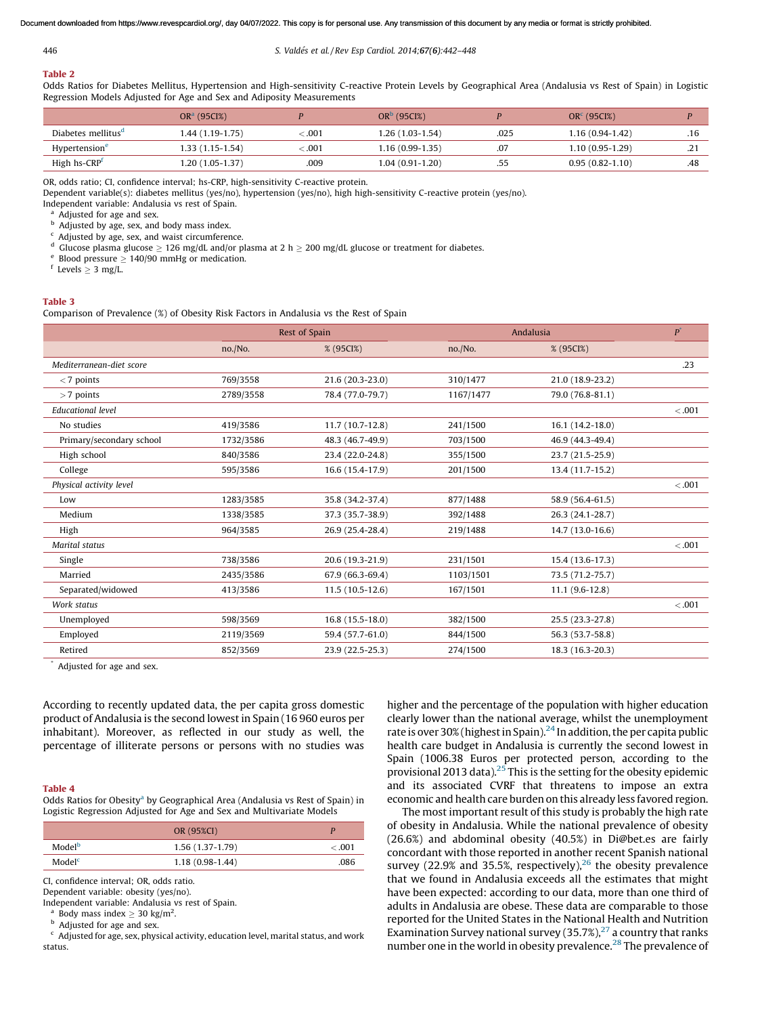<span id="page-4-0"></span>446 *S. Valde´s et al. / Rev Esp Cardiol. 2014;*67(6)*:442–448*

# Table 2

Odds Ratios for Diabetes Mellitus, Hypertension and High-sensitivity C-reactive Protein Levels by Geographical Area (Andalusia vs Rest of Spain) in Logistic Regression Models Adjusted for Age and Sex and Adiposity Measurements

|                                | $ORa$ (95CI%)     |              | $ORb$ (95CI%)     |      | $ORc$ (95CI%)       |            |
|--------------------------------|-------------------|--------------|-------------------|------|---------------------|------------|
| Diabetes mellitus <sup>a</sup> | 1.44 (1.19-1.75)  | $\leq 0.001$ | 1.26 (1.03-1.54)  | .025 | $1.16(0.94-1.42)$   | .16        |
| Hypertension <sup>e</sup>      | $1.33(1.15-1.54)$ | $\leq 0.01$  | 1.16 (0.99-1.35)  | .07  | $1.10(0.95-1.29)$   | . <u>.</u> |
| High hs-CRP <sup>f</sup>       | $1.20(1.05-1.37)$ | .009         | $1.04(0.91-1.20)$ | .55  | $0.95(0.82 - 1.10)$ | .48        |

OR, odds ratio; CI, confidence interval; hs-CRP, high-sensitivity C-reactive protein.

Dependent variable(s): diabetes mellitus (yes/no), hypertension (yes/no), high high-sensitivity C-reactive protein (yes/no).

Independent variable: Andalusia vs rest of Spain.

Adjusted for age and sex.

**b** Adjusted by age, sex, and body mass index.

Adjusted by age, sex, and waist circumference.

<sup>d</sup> Glucose plasma glucose  $\geq 126$  mg/dL and/or plasma at 2 h  $\geq 200$  mg/dL glucose or treatment for diabetes.

e Blood pressure  $\geq 140/90$  mmHg or medication.

 $f$  Levels  $\geq 3$  mg/L.

# Table 3

Comparison of Prevalence (%) of Obesity Risk Factors in Andalusia vs the Rest of Spain

|                          | Rest of Spain |                   |           | Andalusia        | $\boldsymbol{p}^*$ |
|--------------------------|---------------|-------------------|-----------|------------------|--------------------|
|                          | no./No.       | % (95CI%)         | no./No.   | % (95CI%)        |                    |
| Mediterranean-diet score |               |                   |           |                  | .23                |
| $<$ 7 points             | 769/3558      | 21.6 (20.3-23.0)  | 310/1477  | 21.0 (18.9-23.2) |                    |
| $>7$ points              | 2789/3558     | 78.4 (77.0-79.7)  | 1167/1477 | 79.0 (76.8-81.1) |                    |
| <b>Educational level</b> |               |                   |           |                  | < .001             |
| No studies               | 419/3586      | $11.7(10.7-12.8)$ | 241/1500  | 16.1 (14.2-18.0) |                    |
| Primary/secondary school | 1732/3586     | 48.3 (46.7-49.9)  | 703/1500  | 46.9 (44.3-49.4) |                    |
| High school              | 840/3586      | 23.4 (22.0-24.8)  | 355/1500  | 23.7 (21.5-25.9) |                    |
| College                  | 595/3586      | 16.6 (15.4-17.9)  | 201/1500  | 13.4 (11.7-15.2) |                    |
| Physical activity level  |               |                   |           |                  | < 0.001            |
| Low                      | 1283/3585     | 35.8 (34.2-37.4)  | 877/1488  | 58.9 (56.4-61.5) |                    |
| Medium                   | 1338/3585     | 37.3 (35.7-38.9)  | 392/1488  | 26.3 (24.1-28.7) |                    |
| High                     | 964/3585      | 26.9 (25.4-28.4)  | 219/1488  | 14.7 (13.0-16.6) |                    |
| Marital status           |               |                   |           |                  | < 0.001            |
| Single                   | 738/3586      | 20.6 (19.3-21.9)  | 231/1501  | 15.4 (13.6-17.3) |                    |
| Married                  | 2435/3586     | 67.9 (66.3-69.4)  | 1103/1501 | 73.5 (71.2-75.7) |                    |
| Separated/widowed        | 413/3586      | $11.5(10.5-12.6)$ | 167/1501  | $11.1(9.6-12.8)$ |                    |
| Work status              |               |                   |           |                  | < 0.001            |
| Unemployed               | 598/3569      | $16.8(15.5-18.0)$ | 382/1500  | 25.5 (23.3-27.8) |                    |
| Employed                 | 2119/3569     | 59.4 (57.7-61.0)  | 844/1500  | 56.3 (53.7-58.8) |                    |
| Retired                  | 852/3569      | 23.9 (22.5-25.3)  | 274/1500  | 18.3 (16.3-20.3) |                    |

Adjusted for age and sex.

According to recently updated data, the per capita gross domestic product of Andalusia is the second lowestin Spain (16 960 euros per inhabitant). Moreover, as reflected in our study as well, the percentage of illiterate persons or persons with no studies was

#### Table 4

Odds Ratios for Obesity<sup>a</sup> by Geographical Area (Andalusia vs Rest of Spain) in Logistic Regression Adjusted for Age and Sex and Multivariate Models

|                    | OR (95%CI)        |        |
|--------------------|-------------------|--------|
| Model <sup>b</sup> | $1.56(1.37-1.79)$ | < .001 |
| Model <sup>c</sup> | $1.18(0.98-1.44)$ | .086   |

CI, confidence interval; OR, odds ratio.

Dependent variable: obesity (yes/no).

Independent variable: Andalusia vs rest of Spain.

a Body mass index  $\geq 30$  kg/m<sup>2</sup>.

**b** Adjusted for age and sex.

 $\epsilon$  Adjusted for age, sex, physical activity, education level, marital status, and work status.

higher and the percentage of the population with higher education clearly lower than the national average, whilst the unemployment rate is over 30% (highest in Spain).<sup>[24](#page-6-0)</sup> In addition, the per capita public health care budget in Andalusia is currently the second lowest in Spain (1006.38 Euros per protected person, according to the provisional 2013 data).<sup>[25](#page-6-0)</sup> This is the setting for the obesity epidemic and its associated CVRF that threatens to impose an extra economic and health care burden on this already less favored region.

The most important result of this study is probably the high rate of obesity in Andalusia. While the national prevalence of obesity (26.6%) and abdominal obesity (40.5%) in Di@bet.es are fairly concordant with those reported in another recent Spanish national survey (22.9% and 35.5%, respectively),<sup>[26](#page-6-0)</sup> the obesity prevalence that we found in Andalusia exceeds all the estimates that might have been expected: according to our data, more than one third of adults in Andalusia are obese. These data are comparable to those reported for the United States in the National Health and Nutrition Examination Survey national survey  $(35.7\%)$ <sup>[27](#page-6-0)</sup> a country that ranks number one in the world in obesity prevalence.<sup>[28](#page-6-0)</sup> The prevalence of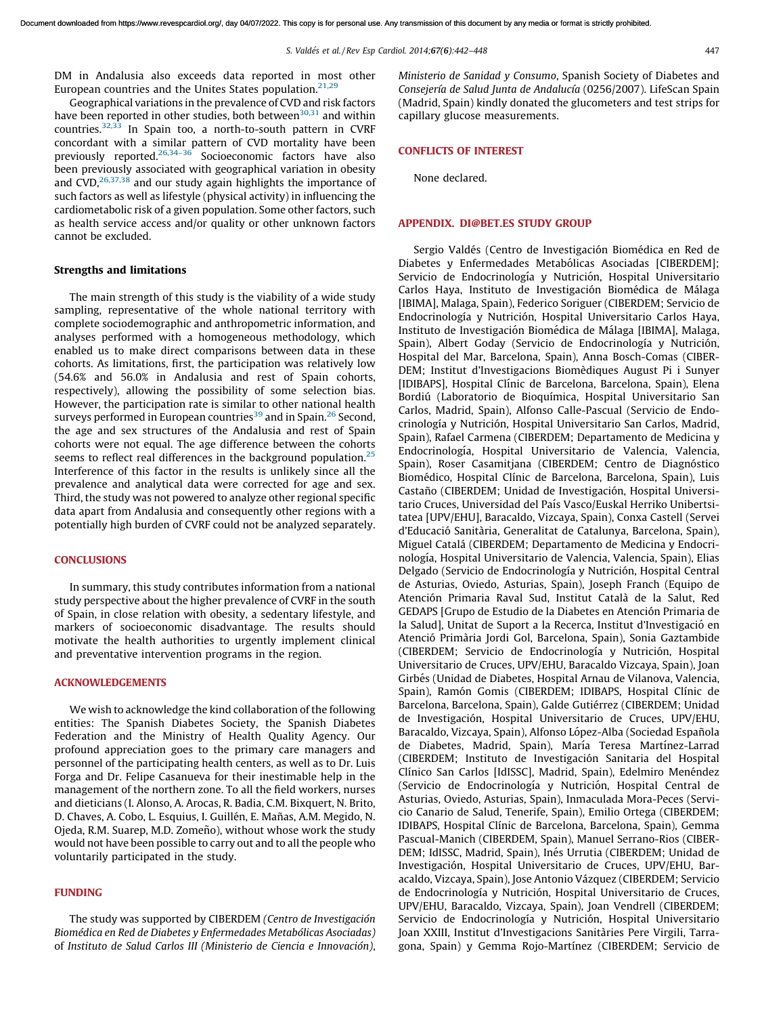<span id="page-5-0"></span>DM in Andalusia also exceeds data reported in most other European countries and the Unites States population.<sup>[21,29](#page-6-0)</sup>

Geographical variations in the prevalence of CVD and risk factors have been reported in other studies, both between $30,31$  and within countries.[32,33](#page-6-0) In Spain too, a north-to-south pattern in CVRF concordant with a similar pattern of CVD mortality have been previously reported.[26,34–36](#page-6-0) Socioeconomic factors have also been previously associated with geographical variation in obesity and  $CVD$ ,  $^{26,37,38}$  $^{26,37,38}$  $^{26,37,38}$  and our study again highlights the importance of such factors as well as lifestyle (physical activity) in influencing the cardiometabolic risk of a given population. Some other factors, such as health service access and/or quality or other unknown factors cannot be excluded.

#### Strengths and limitations

The main strength of this study is the viability of a wide study sampling, representative of the whole national territory with complete sociodemographic and anthropometric information, and analyses performed with a homogeneous methodology, which enabled us to make direct comparisons between data in these cohorts. As limitations, first, the participation was relatively low (54.6% and 56.0% in Andalusia and rest of Spain cohorts, respectively), allowing the possibility of some selection bias. However, the participation rate is similar to other national health surveys performed in European countries<sup>[39](#page-6-0)</sup> and in Spain.<sup>[26](#page-6-0)</sup> Second, the age and sex structures of the Andalusia and rest of Spain cohorts were not equal. The age difference between the cohorts seems to reflect real differences in the background population.<sup>[25](#page-6-0)</sup> Interference of this factor in the results is unlikely since all the prevalence and analytical data were corrected for age and sex. Third, the study was not powered to analyze other regional specific data apart from Andalusia and consequently other regions with a potentially high burden of CVRF could not be analyzed separately.

# **CONCLUSIONS**

In summary, this study contributes information from a national study perspective about the higher prevalence of CVRF in the south of Spain, in close relation with obesity, a sedentary lifestyle, and markers of socioeconomic disadvantage. The results should motivate the health authorities to urgently implement clinical and preventative intervention programs in the region.

# ACKNOWLEDGEMENTS

We wish to acknowledge the kind collaboration of the following entities: The Spanish Diabetes Society, the Spanish Diabetes Federation and the Ministry of Health Quality Agency. Our profound appreciation goes to the primary care managers and personnel of the participating health centers, as well as to Dr. Luis Forga and Dr. Felipe Casanueva for their inestimable help in the management of the northern zone. To all the field workers, nurses and dieticians (I. Alonso, A. Arocas, R. Badia, C.M. Bixquert, N. Brito, D. Chaves, A. Cobo, L. Esquius, I. Guillén, E. Mañas, A.M. Megido, N. Ojeda, R.M. Suarep, M.D. Zomeño), without whose work the study would not have been possible to carry out and to all the people who voluntarily participated in the study.

# FUNDING

The study was supported by CIBERDEM *(Centro de Investigacio´n Biome´dica en Red de Diabetes y Enfermedades Metabo´licas Asociadas)* of *Instituto de Salud Carlos III (Ministerio de Ciencia e Innovacio´n)*, *Ministerio de Sanidad y Consumo*, Spanish Society of Diabetes and *Consejerı´a de Salud Junta de Andalucı´a* (0256/2007). LifeScan Spain (Madrid, Spain) kindly donated the glucometers and test strips for capillary glucose measurements.

#### CONFLICTS OF INTEREST

None declared.

# APPENDIX. DI@BET.ES STUDY GROUP

Sergio Valdés (Centro de Investigación Biomédica en Red de Diabetes y Enfermedades Metabólicas Asociadas [CIBERDEM]; Servicio de Endocrinología y Nutrición, Hospital Universitario Carlos Haya, Instituto de Investigación Biomédica de Málaga [IBIMA], Malaga, Spain), Federico Soriguer (CIBERDEM; Servicio de Endocrinología y Nutrición, Hospital Universitario Carlos Haya, Instituto de Investigación Biomédica de Málaga [IBIMA], Malaga, Spain), Albert Goday (Servicio de Endocrinología y Nutrición, Hospital del Mar, Barcelona, Spain), Anna Bosch-Comas (CIBER-DEM; Institut d'Investigacions Biomèdiques August Pi i Sunyer [IDIBAPS], Hospital Clı´nic de Barcelona, Barcelona, Spain), Elena Bordiú (Laboratorio de Bioquímica, Hospital Universitario San Carlos, Madrid, Spain), Alfonso Calle-Pascual (Servicio de Endocrinología y Nutrición, Hospital Universitario San Carlos, Madrid, Spain), Rafael Carmena (CIBERDEM; Departamento de Medicina y Endocrinología, Hospital Universitario de Valencia, Valencia, Spain), Roser Casamitjana (CIBERDEM; Centro de Diagnóstico Biomédico, Hospital Clínic de Barcelona, Barcelona, Spain), Luis Castaño (CIBERDEM; Unidad de Investigación, Hospital Universitario Cruces, Universidad del Paı´s Vasco/Euskal Herriko Unibertsitatea [UPV/EHU], Baracaldo, Vizcaya, Spain), Conxa Castell (Servei d'Educació Sanitària, Generalitat de Catalunya, Barcelona, Spain), Miguel Catalá (CIBERDEM; Departamento de Medicina y Endocrinología, Hospital Universitario de Valencia, Valencia, Spain), Elias Delgado (Servicio de Endocrinología y Nutrición, Hospital Central de Asturias, Oviedo, Asturias, Spain), Joseph Franch (Equipo de Atención Primaria Raval Sud, Institut Català de la Salut, Red GEDAPS [Grupo de Estudio de la Diabetes en Atención Primaria de la Salud], Unitat de Suport a la Recerca, Institut d'Investigació en Atenció Primària Jordi Gol, Barcelona, Spain), Sonia Gaztambide (CIBERDEM; Servicio de Endocrinología y Nutrición, Hospital Universitario de Cruces, UPV/EHU, Baracaldo Vizcaya, Spain), Joan Girbés (Unidad de Diabetes, Hospital Arnau de Vilanova, Valencia, Spain), Ramón Gomis (CIBERDEM; IDIBAPS, Hospital Clínic de Barcelona, Barcelona, Spain), Galde Gutiérrez (CIBERDEM; Unidad de Investigación, Hospital Universitario de Cruces, UPV/EHU, Baracaldo, Vizcaya, Spain), Alfonso López-Alba (Sociedad Española de Diabetes, Madrid, Spain), María Teresa Martínez-Larrad (CIBERDEM; Instituto de Investigación Sanitaria del Hospital Clínico San Carlos [IdISSC], Madrid, Spain), Edelmiro Menéndez (Servicio de Endocrinología y Nutrición, Hospital Central de Asturias, Oviedo, Asturias, Spain), Inmaculada Mora-Peces (Servicio Canario de Salud, Tenerife, Spain), Emilio Ortega (CIBERDEM; IDIBAPS, Hospital Clínic de Barcelona, Barcelona, Spain), Gemma Pascual-Manich (CIBERDEM, Spain), Manuel Serrano-Rios (CIBER-DEM; IdISSC, Madrid, Spain), Inés Urrutia (CIBERDEM; Unidad de Investigación, Hospital Universitario de Cruces, UPV/EHU, Baracaldo, Vizcaya, Spain), Jose Antonio Vázquez (CIBERDEM; Servicio de Endocrinología y Nutrición, Hospital Universitario de Cruces, UPV/EHU, Baracaldo, Vizcaya, Spain), Joan Vendrell (CIBERDEM; Servicio de Endocrinología y Nutrición, Hospital Universitario Joan XXIII, Institut d'Investigacions Sanitàries Pere Virgili, Tarragona, Spain) y Gemma Rojo-Martínez (CIBERDEM; Servicio de